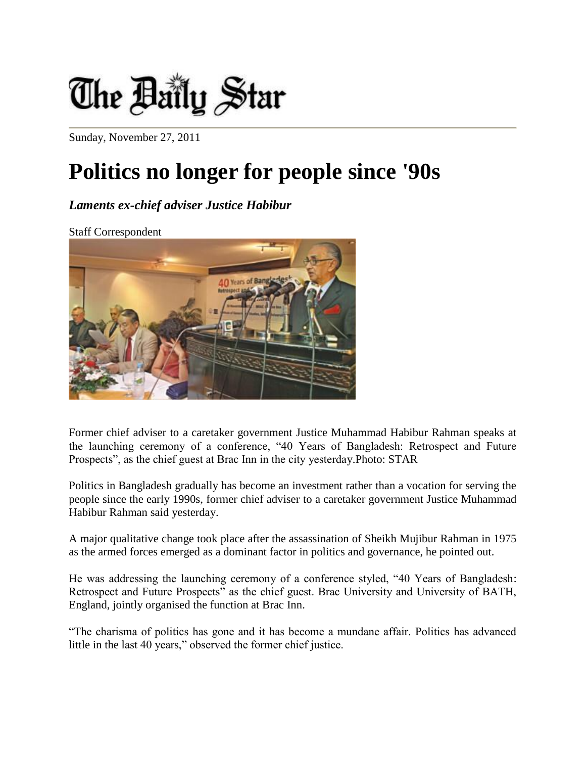

Sunday, November 27, 2011

## **Politics no longer for people since '90s**

## *Laments ex-chief adviser Justice Habibur*

Staff Correspondent



Former chief adviser to a caretaker government Justice Muhammad Habibur Rahman speaks at the launching ceremony of a conference, "40 Years of Bangladesh: Retrospect and Future Prospects", as the chief guest at Brac Inn in the city yesterday.Photo: STAR

Politics in Bangladesh gradually has become an investment rather than a vocation for serving the people since the early 1990s, former chief adviser to a caretaker government Justice Muhammad Habibur Rahman said yesterday.

A major qualitative change took place after the assassination of Sheikh Mujibur Rahman in 1975 as the armed forces emerged as a dominant factor in politics and governance, he pointed out.

He was addressing the launching ceremony of a conference styled, "40 Years of Bangladesh: Retrospect and Future Prospects" as the chief guest. Brac University and University of BATH, England, jointly organised the function at Brac Inn.

"The charisma of politics has gone and it has become a mundane affair. Politics has advanced little in the last 40 years," observed the former chief justice.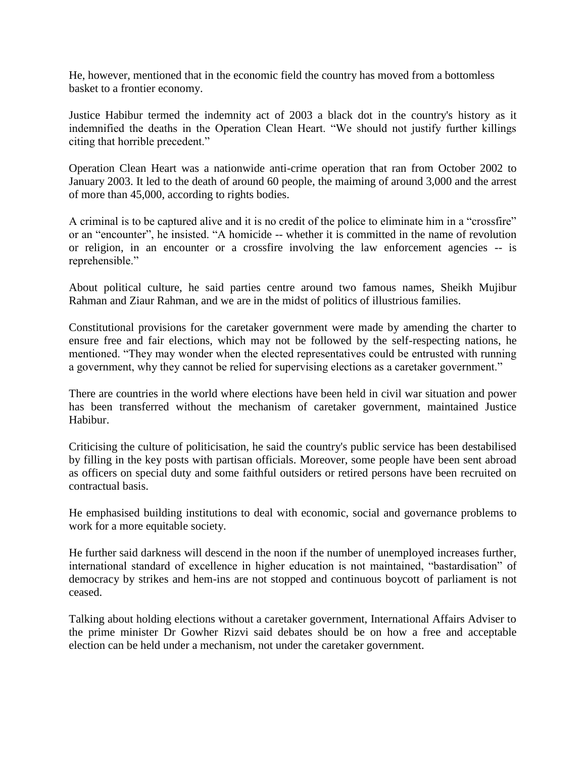He, however, mentioned that in the economic field the country has moved from a bottomless basket to a frontier economy.

Justice Habibur termed the indemnity act of 2003 a black dot in the country's history as it indemnified the deaths in the Operation Clean Heart. "We should not justify further killings citing that horrible precedent."

Operation Clean Heart was a nationwide anti-crime operation that ran from October 2002 to January 2003. It led to the death of around 60 people, the maiming of around 3,000 and the arrest of more than 45,000, according to rights bodies.

A criminal is to be captured alive and it is no credit of the police to eliminate him in a "crossfire" or an "encounter", he insisted. "A homicide -- whether it is committed in the name of revolution or religion, in an encounter or a crossfire involving the law enforcement agencies -- is reprehensible."

About political culture, he said parties centre around two famous names, Sheikh Mujibur Rahman and Ziaur Rahman, and we are in the midst of politics of illustrious families.

Constitutional provisions for the caretaker government were made by amending the charter to ensure free and fair elections, which may not be followed by the self-respecting nations, he mentioned. "They may wonder when the elected representatives could be entrusted with running a government, why they cannot be relied for supervising elections as a caretaker government."

There are countries in the world where elections have been held in civil war situation and power has been transferred without the mechanism of caretaker government, maintained Justice Habibur.

Criticising the culture of politicisation, he said the country's public service has been destabilised by filling in the key posts with partisan officials. Moreover, some people have been sent abroad as officers on special duty and some faithful outsiders or retired persons have been recruited on contractual basis.

He emphasised building institutions to deal with economic, social and governance problems to work for a more equitable society.

He further said darkness will descend in the noon if the number of unemployed increases further, international standard of excellence in higher education is not maintained, "bastardisation" of democracy by strikes and hem-ins are not stopped and continuous boycott of parliament is not ceased.

Talking about holding elections without a caretaker government, International Affairs Adviser to the prime minister Dr Gowher Rizvi said debates should be on how a free and acceptable election can be held under a mechanism, not under the caretaker government.